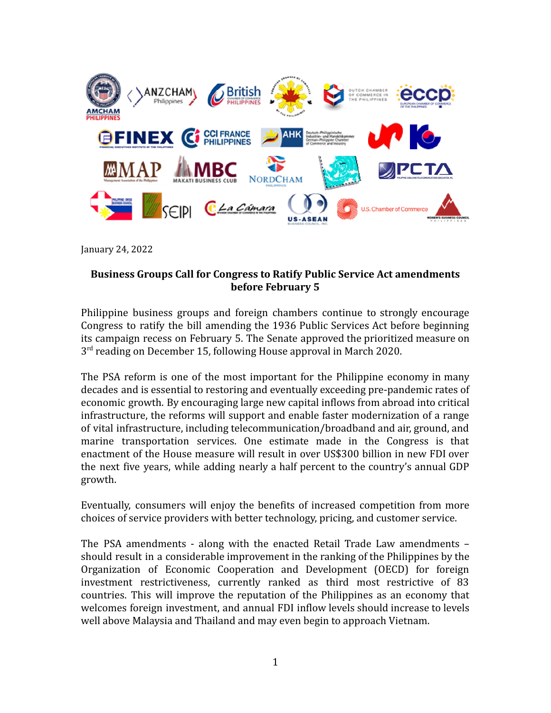

January 24, 2022

## **Business Groups Call for Congress to Ratify Public Service Act amendments before February 5**

Philippine business groups and foreign chambers continue to strongly encourage Congress to ratify the bill amending the 1936 Public Services Act before beginning its campaign recess on February 5. The Senate approved the prioritized measure on 3<sup>rd</sup> reading on December 15, following House approval in March 2020.

The PSA reform is one of the most important for the Philippine economy in many decades and is essential to restoring and eventually exceeding pre-pandemic rates of economic growth. By encouraging large new capital inflows from abroad into critical infrastructure, the reforms will support and enable faster modernization of a range of vital infrastructure, including telecommunication/broadband and air, ground, and marine transportation services. One estimate made in the Congress is that enactment of the House measure will result in over US\$300 billion in new FDI over the next five years, while adding nearly a half percent to the country's annual GDP growth.

Eventually, consumers will enjoy the benefits of increased competition from more choices of service providers with better technology, pricing, and customer service.

The PSA amendments - along with the enacted Retail Trade Law amendments – should result in a considerable improvement in the ranking of the Philippines by the Organization of Economic Cooperation and Development (OECD) for foreign investment restrictiveness, currently ranked as third most restrictive of 83 countries. This will improve the reputation of the Philippines as an economy that welcomes foreign investment, and annual FDI inflow levels should increase to levels well above Malaysia and Thailand and may even begin to approach Vietnam.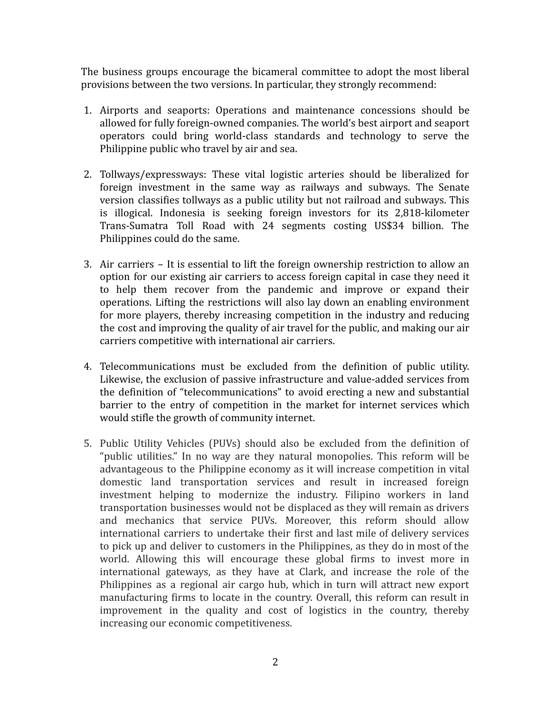The business groups encourage the bicameral committee to adopt the most liberal provisions between the two versions. In particular, they strongly recommend:

- 1. Airports and seaports: Operations and maintenance concessions should be allowed for fully foreign-owned companies. The world's best airport and seaport operators could bring world-class standards and technology to serve the Philippine public who travel by air and sea.
- 2. Tollways/expressways: These vital logistic arteries should be liberalized for foreign investment in the same way as railways and subways. The Senate version classifies tollways as a public utility but not railroad and subways. This is illogical. Indonesia is seeking foreign investors for its 2,818-kilometer Trans-Sumatra Toll Road with 24 segments costing US\$34 billion. The Philippines could do the same.
- 3. Air carriers It is essential to lift the foreign ownership restriction to allow an option for our existing air carriers to access foreign capital in case they need it to help them recover from the pandemic and improve or expand their operations. Lifting the restrictions will also lay down an enabling environment for more players, thereby increasing competition in the industry and reducing the cost and improving the quality of air travel for the public, and making our air carriers competitive with international air carriers.
- 4. Telecommunications must be excluded from the definition of public utility. Likewise, the exclusion of passive infrastructure and value-added services from the definition of "telecommunications" to avoid erecting a new and substantial barrier to the entry of competition in the market for internet services which would stifle the growth of community internet.
- 5. Public Utility Vehicles (PUVs) should also be excluded from the definition of "public utilities." In no way are they natural monopolies. This reform will be advantageous to the Philippine economy as it will increase competition in vital domestic land transportation services and result in increased foreign investment helping to modernize the industry. Filipino workers in land transportation businesses would not be displaced as they will remain as drivers and mechanics that service PUVs. Moreover, this reform should allow international carriers to undertake their first and last mile of delivery services to pick up and deliver to customers in the Philippines, as they do in most of the world. Allowing this will encourage these global firms to invest more in international gateways, as they have at Clark, and increase the role of the Philippines as a regional air cargo hub, which in turn will attract new export manufacturing firms to locate in the country. Overall, this reform can result in improvement in the quality and cost of logistics in the country, thereby increasing our economic competitiveness.